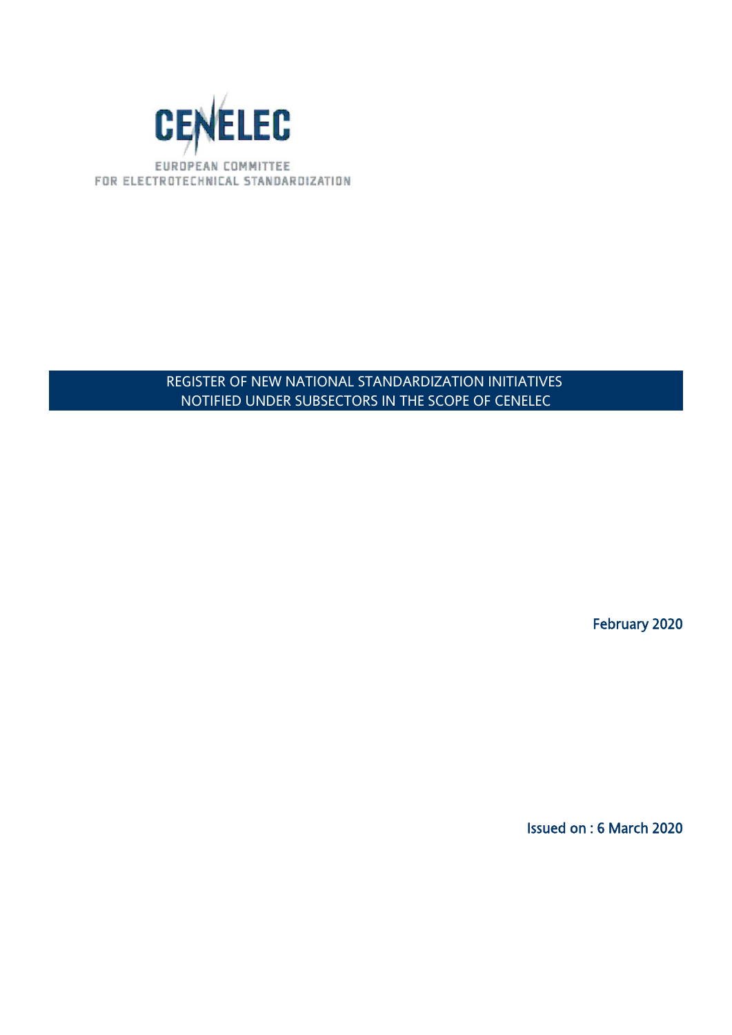

### REGISTER OF NEW NATIONAL STANDARDIZATION INITIATIVES NOTIFIED UNDER SUBSECTORS IN THE SCOPE OF CENELEC

February 2020

Issued on : 6 March 2020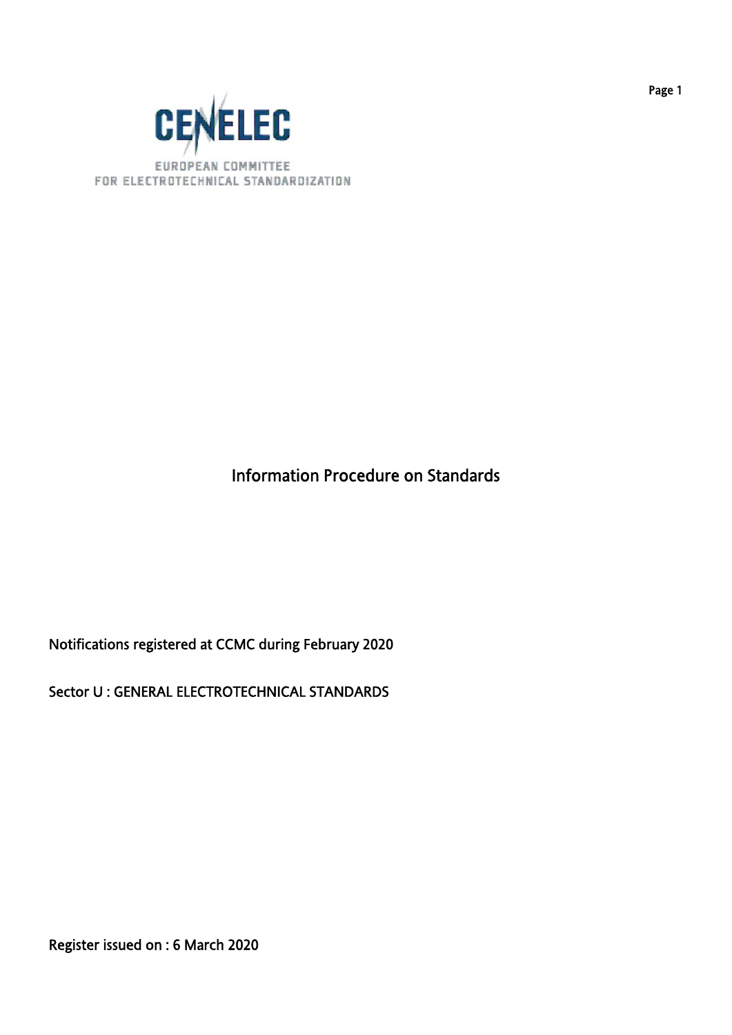

## Information Procedure on Standards

Notifications registered at CCMC during February 2020

Sector U : GENERAL ELECTROTECHNICAL STANDARDS

Register issued on : 6 March 2020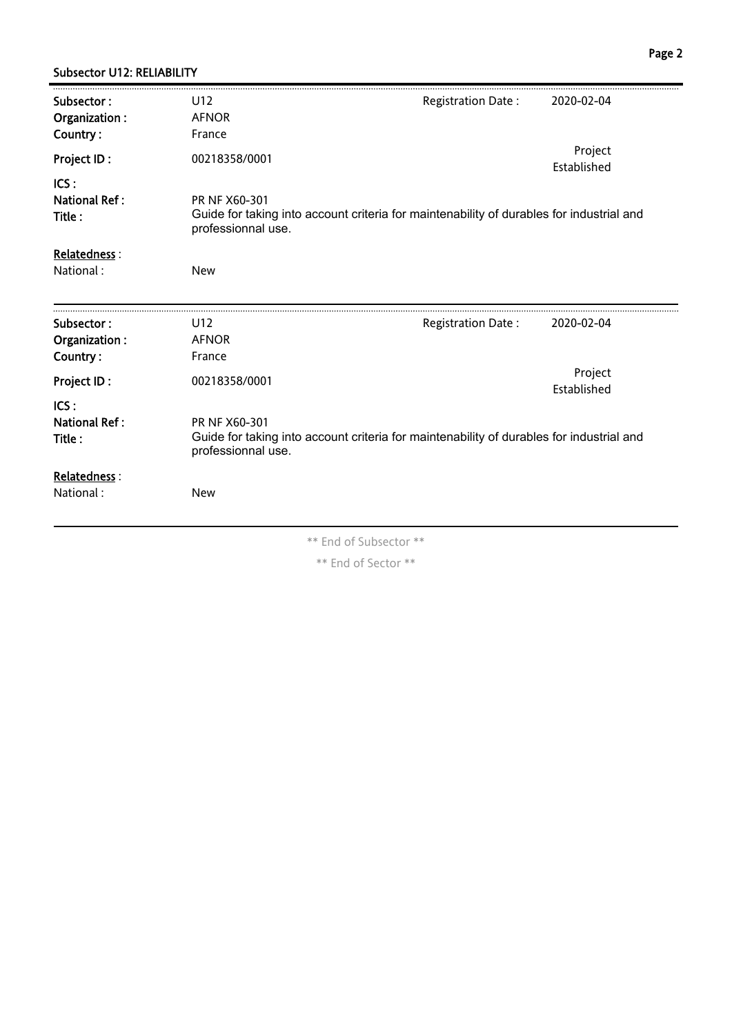#### Subsector U12: RELIABILITY

| Subsector:<br>Organization:<br>Country: | U12<br><b>AFNOR</b><br>France                                                                                                   | Registration Date: | 2020-02-04             |
|-----------------------------------------|---------------------------------------------------------------------------------------------------------------------------------|--------------------|------------------------|
| Project ID:                             | 00218358/0001                                                                                                                   |                    | Project<br>Established |
| ICS:<br><b>National Ref:</b><br>Title:  | PR NF X60-301<br>Guide for taking into account criteria for maintenability of durables for industrial and<br>professionnal use. |                    |                        |
| Relatedness:                            |                                                                                                                                 |                    |                        |
| National:                               | <b>New</b>                                                                                                                      |                    |                        |
| Subsector:<br>Organization:<br>Country: | U12<br><b>AFNOR</b><br>France                                                                                                   | Registration Date: | 2020-02-04             |
| Project ID:                             | 00218358/0001                                                                                                                   |                    | Project<br>Established |
| ICS:<br><b>National Ref:</b><br>Title:  | PR NF X60-301<br>Guide for taking into account criteria for maintenability of durables for industrial and<br>professionnal use. |                    |                        |
| Relatedness :                           |                                                                                                                                 |                    |                        |
| National:                               | <b>New</b>                                                                                                                      |                    |                        |
|                                         |                                                                                                                                 |                    |                        |

\*\* End of Subsector \*\*

\*\* End of Sector \*\*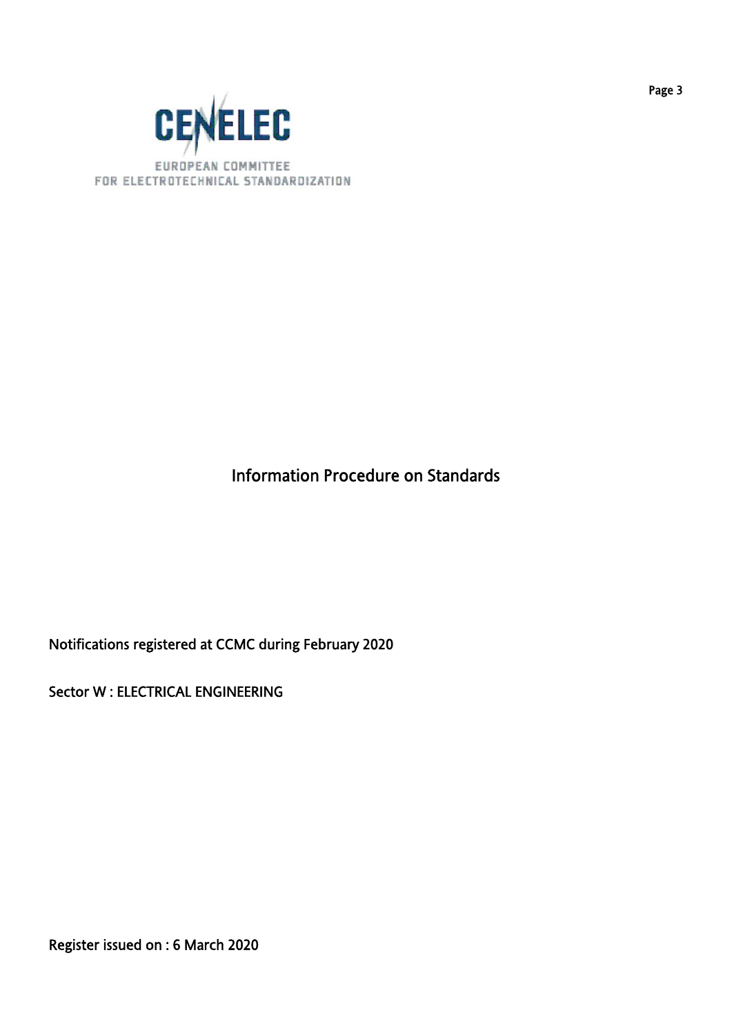

## Information Procedure on Standards

Notifications registered at CCMC during February 2020

Sector W : ELECTRICAL ENGINEERING

Register issued on : 6 March 2020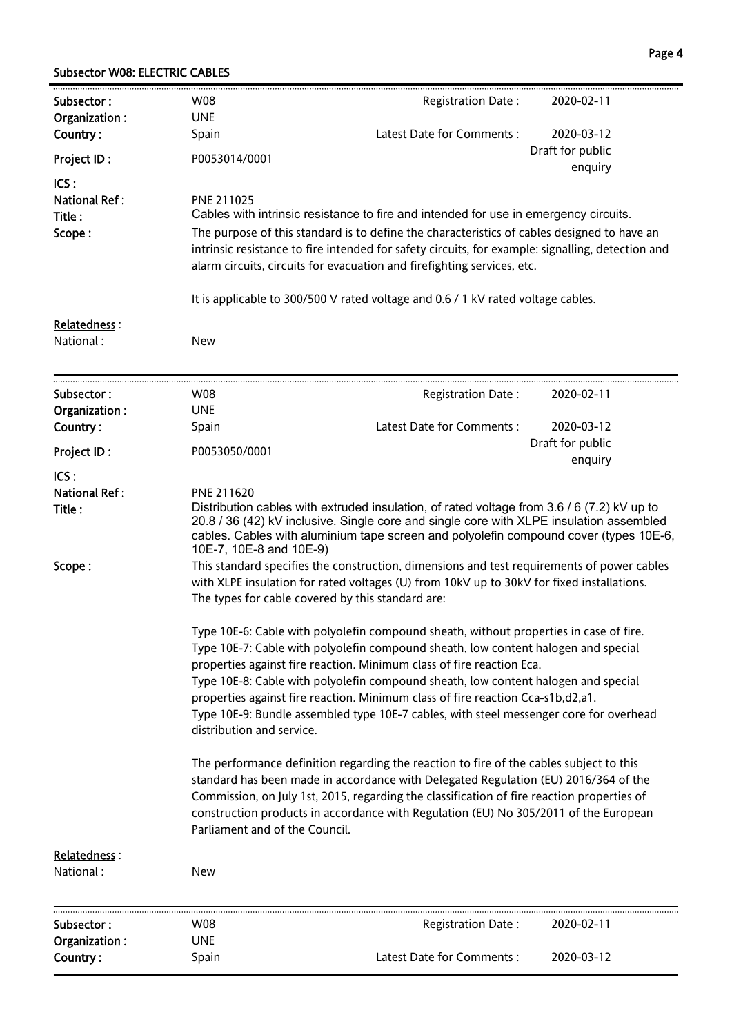#### Subsector W08: ELECTRIC CABLES

| Subsector:                                       | W08                                                                                                                                                                                                                                                                                                                                                                                                                                                                                                                                                                                                                                                                                                                                                                                                                                                                                                                                                                                                                                                                                                                                                                                                                                                                                                                                                                                                                                                                                                                                        | Registration Date:         | 2020-02-11                  |
|--------------------------------------------------|--------------------------------------------------------------------------------------------------------------------------------------------------------------------------------------------------------------------------------------------------------------------------------------------------------------------------------------------------------------------------------------------------------------------------------------------------------------------------------------------------------------------------------------------------------------------------------------------------------------------------------------------------------------------------------------------------------------------------------------------------------------------------------------------------------------------------------------------------------------------------------------------------------------------------------------------------------------------------------------------------------------------------------------------------------------------------------------------------------------------------------------------------------------------------------------------------------------------------------------------------------------------------------------------------------------------------------------------------------------------------------------------------------------------------------------------------------------------------------------------------------------------------------------------|----------------------------|-----------------------------|
| Organization:<br>Country:                        | <b>UNE</b><br>Spain                                                                                                                                                                                                                                                                                                                                                                                                                                                                                                                                                                                                                                                                                                                                                                                                                                                                                                                                                                                                                                                                                                                                                                                                                                                                                                                                                                                                                                                                                                                        | Latest Date for Comments : | 2020-03-12                  |
| <b>Project ID:</b>                               | P0053014/0001                                                                                                                                                                                                                                                                                                                                                                                                                                                                                                                                                                                                                                                                                                                                                                                                                                                                                                                                                                                                                                                                                                                                                                                                                                                                                                                                                                                                                                                                                                                              |                            | Draft for public<br>enquiry |
| ICS:<br><b>National Ref:</b><br>Title:<br>Scope: | PNE 211025<br>Cables with intrinsic resistance to fire and intended for use in emergency circuits.<br>The purpose of this standard is to define the characteristics of cables designed to have an<br>intrinsic resistance to fire intended for safety circuits, for example: signalling, detection and<br>alarm circuits, circuits for evacuation and firefighting services, etc.                                                                                                                                                                                                                                                                                                                                                                                                                                                                                                                                                                                                                                                                                                                                                                                                                                                                                                                                                                                                                                                                                                                                                          |                            |                             |
|                                                  | It is applicable to 300/500 V rated voltage and 0.6 / 1 kV rated voltage cables.                                                                                                                                                                                                                                                                                                                                                                                                                                                                                                                                                                                                                                                                                                                                                                                                                                                                                                                                                                                                                                                                                                                                                                                                                                                                                                                                                                                                                                                           |                            |                             |
| Relatedness:<br>National:                        | <b>New</b>                                                                                                                                                                                                                                                                                                                                                                                                                                                                                                                                                                                                                                                                                                                                                                                                                                                                                                                                                                                                                                                                                                                                                                                                                                                                                                                                                                                                                                                                                                                                 |                            |                             |
| Subsector:                                       | W08                                                                                                                                                                                                                                                                                                                                                                                                                                                                                                                                                                                                                                                                                                                                                                                                                                                                                                                                                                                                                                                                                                                                                                                                                                                                                                                                                                                                                                                                                                                                        | Registration Date:         | 2020-02-11                  |
| Organization:                                    | <b>UNE</b>                                                                                                                                                                                                                                                                                                                                                                                                                                                                                                                                                                                                                                                                                                                                                                                                                                                                                                                                                                                                                                                                                                                                                                                                                                                                                                                                                                                                                                                                                                                                 |                            |                             |
| Country:                                         | Spain                                                                                                                                                                                                                                                                                                                                                                                                                                                                                                                                                                                                                                                                                                                                                                                                                                                                                                                                                                                                                                                                                                                                                                                                                                                                                                                                                                                                                                                                                                                                      | Latest Date for Comments:  | 2020-03-12                  |
| Project ID:                                      | P0053050/0001                                                                                                                                                                                                                                                                                                                                                                                                                                                                                                                                                                                                                                                                                                                                                                                                                                                                                                                                                                                                                                                                                                                                                                                                                                                                                                                                                                                                                                                                                                                              |                            | Draft for public<br>enquiry |
| ICS:<br><b>National Ref:</b><br>Title:<br>Scope: | PNE 211620<br>Distribution cables with extruded insulation, of rated voltage from 3.6 / 6 (7.2) kV up to<br>20.8 / 36 (42) kV inclusive. Single core and single core with XLPE insulation assembled<br>cables. Cables with aluminium tape screen and polyolefin compound cover (types 10E-6,<br>10E-7, 10E-8 and 10E-9)<br>This standard specifies the construction, dimensions and test requirements of power cables<br>with XLPE insulation for rated voltages (U) from 10kV up to 30kV for fixed installations.<br>The types for cable covered by this standard are:<br>Type 10E-6: Cable with polyolefin compound sheath, without properties in case of fire.<br>Type 10E-7: Cable with polyolefin compound sheath, low content halogen and special<br>properties against fire reaction. Minimum class of fire reaction Eca.<br>Type 10E-8: Cable with polyolefin compound sheath, low content halogen and special<br>properties against fire reaction. Minimum class of fire reaction Cca-s1b,d2,a1.<br>Type 10E-9: Bundle assembled type 10E-7 cables, with steel messenger core for overhead<br>distribution and service.<br>The performance definition regarding the reaction to fire of the cables subject to this<br>standard has been made in accordance with Delegated Regulation (EU) 2016/364 of the<br>Commission, on July 1st, 2015, regarding the classification of fire reaction properties of<br>construction products in accordance with Regulation (EU) No 305/2011 of the European<br>Parliament and of the Council. |                            |                             |
| Relatedness:<br>National:                        | <b>New</b>                                                                                                                                                                                                                                                                                                                                                                                                                                                                                                                                                                                                                                                                                                                                                                                                                                                                                                                                                                                                                                                                                                                                                                                                                                                                                                                                                                                                                                                                                                                                 |                            |                             |
|                                                  | W08                                                                                                                                                                                                                                                                                                                                                                                                                                                                                                                                                                                                                                                                                                                                                                                                                                                                                                                                                                                                                                                                                                                                                                                                                                                                                                                                                                                                                                                                                                                                        |                            |                             |
| Subsector:<br>Organization:                      | <b>UNE</b>                                                                                                                                                                                                                                                                                                                                                                                                                                                                                                                                                                                                                                                                                                                                                                                                                                                                                                                                                                                                                                                                                                                                                                                                                                                                                                                                                                                                                                                                                                                                 | Registration Date:         | 2020-02-11                  |
| Country:                                         | Spain                                                                                                                                                                                                                                                                                                                                                                                                                                                                                                                                                                                                                                                                                                                                                                                                                                                                                                                                                                                                                                                                                                                                                                                                                                                                                                                                                                                                                                                                                                                                      | Latest Date for Comments:  | 2020-03-12                  |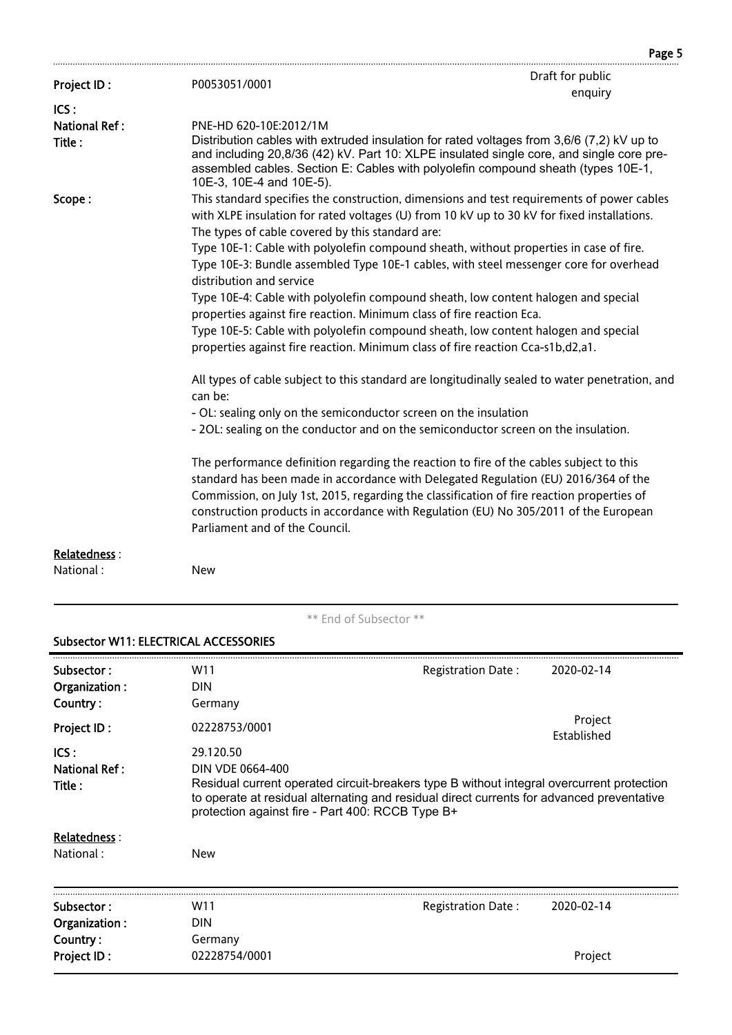| Project ID:          | P0053051/0001                                                         | Draft for public                                                                                                                                                                                                                                                                                                                                                     |  |  |
|----------------------|-----------------------------------------------------------------------|----------------------------------------------------------------------------------------------------------------------------------------------------------------------------------------------------------------------------------------------------------------------------------------------------------------------------------------------------------------------|--|--|
| ICS:                 |                                                                       | enquiry                                                                                                                                                                                                                                                                                                                                                              |  |  |
| <b>National Ref:</b> | PNE-HD 620-10E:2012/1M                                                |                                                                                                                                                                                                                                                                                                                                                                      |  |  |
| Title:               | 10E-3, 10E-4 and 10E-5).                                              | Distribution cables with extruded insulation for rated voltages from 3,6/6 (7,2) kV up to<br>and including 20,8/36 (42) kV. Part 10: XLPE insulated single core, and single core pre-<br>assembled cables. Section E: Cables with polyolefin compound sheath (types 10E-1,                                                                                           |  |  |
| Scope:               | The types of cable covered by this standard are:                      | This standard specifies the construction, dimensions and test requirements of power cables<br>with XLPE insulation for rated voltages (U) from 10 kV up to 30 kV for fixed installations.                                                                                                                                                                            |  |  |
|                      | distribution and service                                              | Type 10E-1: Cable with polyolefin compound sheath, without properties in case of fire.<br>Type 10E-3: Bundle assembled Type 10E-1 cables, with steel messenger core for overhead                                                                                                                                                                                     |  |  |
|                      | properties against fire reaction. Minimum class of fire reaction Eca. | Type 10E-4: Cable with polyolefin compound sheath, low content halogen and special                                                                                                                                                                                                                                                                                   |  |  |
|                      |                                                                       | Type 10E-5: Cable with polyolefin compound sheath, low content halogen and special<br>properties against fire reaction. Minimum class of fire reaction Cca-s1b,d2,a1.                                                                                                                                                                                                |  |  |
|                      | can be:                                                               | All types of cable subject to this standard are longitudinally sealed to water penetration, and                                                                                                                                                                                                                                                                      |  |  |
|                      | - OL: sealing only on the semiconductor screen on the insulation      |                                                                                                                                                                                                                                                                                                                                                                      |  |  |
|                      |                                                                       | - 2OL: sealing on the conductor and on the semiconductor screen on the insulation.                                                                                                                                                                                                                                                                                   |  |  |
|                      | Parliament and of the Council.                                        | The performance definition regarding the reaction to fire of the cables subject to this<br>standard has been made in accordance with Delegated Regulation (EU) 2016/364 of the<br>Commission, on July 1st, 2015, regarding the classification of fire reaction properties of<br>construction products in accordance with Regulation (EU) No 305/2011 of the European |  |  |
| <b>Relatedness:</b>  |                                                                       |                                                                                                                                                                                                                                                                                                                                                                      |  |  |
| National:            | <b>New</b>                                                            |                                                                                                                                                                                                                                                                                                                                                                      |  |  |
|                      |                                                                       |                                                                                                                                                                                                                                                                                                                                                                      |  |  |

Page 5

\*\* End of Subsector \*\*

# Subsector W11: ELECTRICAL ACCESSORIES

| Subsector:<br>Organization:              | W11<br>DIN                                                                                                                                                                                                                                                                  | Registration Date:        | 2020-02-14             |
|------------------------------------------|-----------------------------------------------------------------------------------------------------------------------------------------------------------------------------------------------------------------------------------------------------------------------------|---------------------------|------------------------|
| Country:<br>Project ID:                  | Germany<br>02228753/0001                                                                                                                                                                                                                                                    |                           | Project<br>Established |
| ICS:<br><b>National Ref:</b><br>Title :  | 29.120.50<br>DIN VDE 0664-400<br>Residual current operated circuit-breakers type B without integral overcurrent protection<br>to operate at residual alternating and residual direct currents for advanced preventative<br>protection against fire - Part 400: RCCB Type B+ |                           |                        |
| Relatedness :<br>National:               | New                                                                                                                                                                                                                                                                         |                           |                        |
| Subsector:                               | W11                                                                                                                                                                                                                                                                         | <b>Registration Date:</b> | 2020-02-14             |
| Organization:<br>Country:<br>Project ID: | DIN<br>Germany<br>02228754/0001                                                                                                                                                                                                                                             |                           | Project                |